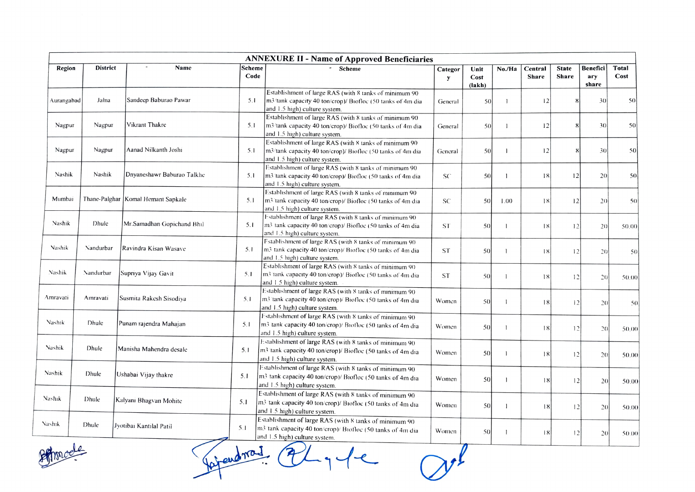| <b>ANNEXURE II - Name of Approved Beneficiaries</b> |                 |                                      |                |                                                                                                                                                        |              |                        |                |                         |                       |                                 |               |
|-----------------------------------------------------|-----------------|--------------------------------------|----------------|--------------------------------------------------------------------------------------------------------------------------------------------------------|--------------|------------------------|----------------|-------------------------|-----------------------|---------------------------------|---------------|
| Region                                              | <b>District</b> | Name                                 | Scheme<br>Code | Scheme                                                                                                                                                 | Categor<br>y | Unit<br>Cost<br>(lakh) | No./Ha         | Central<br><b>Share</b> | <b>State</b><br>Share | <b>Benefici</b><br>ary<br>share | Total<br>Cost |
| Aurangabad                                          | Jalna           | Sandeep Baburao Pawar                | 5.1            | Establishment of large RAS (with 8 tanks of minimum 90<br>m3/tank capacity 40 ton/crop)/ Biofloc (50 tanks of 4m dia<br>and 1.5 high) culture system.  | General      | 50                     | $\overline{1}$ | 12                      | x                     | 30                              | 50            |
| Nagpur                                              | Nagpur          | Vikrant Thakre                       | 5.1            | Establishment of large RAS (with 8 tanks of minimum 90<br>m3/tank capacity 40 ton/crop)/ Biofloc (50 tanks of 4m dia<br>and 1.5 high) culture system.  | General      | 50                     |                | 12                      | 8                     | 30                              | 50            |
| Nagpur                                              | Nagpur          | Aanad Nilkanth Joshi                 | 5.1            | Establishment of large RAS (with 8 tanks of minimum 90<br>m3/tank capacity 40 ton/crop)/ Biofloc (50 tanks of 4m dia<br>and 1.5 high) culture system.  | General      | 50                     |                | 12                      |                       | 30                              | 50            |
| Nashik                                              | Nashik          | Dnyaneshawr Baburao Talkhe           | 5.1            | Establishment of large RAS (with 8 tanks of minimum 90<br>m3 'tank capacity 40 ton/crop)/ Biofloc (50 tanks of 4m dia<br>and 1.5 high) culture system. | SC           | 50                     | -1             | 18                      | 12                    | 20                              | 50            |
| Mumbai                                              |                 | Thane-Palghar   Komal Hemant Sapkale | 5.1            | Establishment of large RAS (with 8 tanks of minimum 90<br>m3/tank capacity 40 ton/erop)/ Biofloc (50 tanks of 4m dia<br>and 1.5 high) culture system.  | <b>SC</b>    | 50                     | 1.00           | 18                      | 2                     | 20                              | 50            |
| Nashik                                              | Dhule           | Mr.Samadhan Gopichand Bhil           | 5.1            | Establishment of large RAS (with 8 tanks of minimum 90<br>m3 tank capacity 40 ton/crop)/ Biofloc (50 tanks of 4m dia<br>and 1.5 high) culture system.  | -ST          | 50                     | I              | 18                      | 2                     | 20                              | 50.00         |
| Nashik                                              | Nandurbar       | Ravindra Kisan Wasave                | 5.1            | Establishment of large RAS (with 8 tanks of minimum 90)<br>m3 tank capacity 40 ton/crop)/ Biofloc (50 tanks of 4m dia<br>and 1.5 high) culture system. | <b>ST</b>    | 50                     |                | 18                      | 12                    | 20                              | 50            |
| Nashik                                              | Nandurbar       | Supriya Vijay Gavit                  | 5.1            | Establishment of large RAS (with 8 tanks of minimum 90<br>m3 tank capacity 40 ton/crop)/ Biofloc (50 tanks of 4m dia<br>and 1.5 high) culture system.  | <b>ST</b>    | 50                     |                | 18                      | 12                    | 20                              | 50.00         |
| Amravati                                            | Amravati        | Susmita Rakesh Sisodiya              | 5.1            | Establishment of large RAS (with 8 tanks of minimum 90<br>m3/tank capacity 40 ton/crop)/ Biofloc (50 tanks of 4m dia<br>and 1.5 high) culture system.  | Women        | 50                     |                | 18                      | 12                    | 20                              | 50            |
| Nashik                                              | Dhule           | Punam rajendra Mahajan               | 5.1            | Establishment of large RAS (with 8 tanks of minimum 90<br>m3 tank capacity 40 ton/crop)/ Biofloc (50 tanks of 4m dia<br>and 1.5 high) culture system.  | Women        | 50                     |                | 18                      | 12                    | 2()                             | 50.00         |
| Nashik                                              | Dhule           | Manisha Mahendra desale              | 5.1            | Establishment of large RAS (with 8 tanks of minimum 90<br>m3 tank capacity 40 ton/crop)/ Biofloc (50 tanks of 4m dia<br>and 1.5 high) culture system.  | Women        | 50                     |                | 18                      | 12                    | 20                              | 50.00         |
| Nashik                                              | Dhule           | Ushabai Vijay thakre                 | 5.1            | Establishment of large RAS (with 8 tanks of minimum 90<br>m3 tank capacity 40 ton/crop)/ Biofloc (50 tanks of 4m dia<br>and 1.5 high) culture system.  | Women        | 50                     |                | 18                      | 12                    | 20                              | 50.00         |
| Nashik                                              | Dhule           | Kalyani Bhagvan Mohite               | 5.1            | Establishment of large RAS (with 8 tanks of minimum 90<br>m3 tank capacity 40 ton/crop)/ Biofloc (50 tanks of 4m dia<br>and 1.5 high) culture system.  | Women        | 50                     |                | 18                      | 12                    | 20                              | 50.00         |
| Nashik                                              | Dhule           | Jyotibai Kantilal Patil              | 5.1            | Establishment of large RAS (with 8 tanks of minimum 90<br>m3 tank capacity 40 ton/crop)/ Biofloc (50 tanks of 4m dia<br>and 1.5 high) culture system.  | Women        | 50                     |                | 18                      | 12                    | 20                              | 50.00         |

 $\mathcal{V}^l$ 

Phonode

Foraudrain all y le